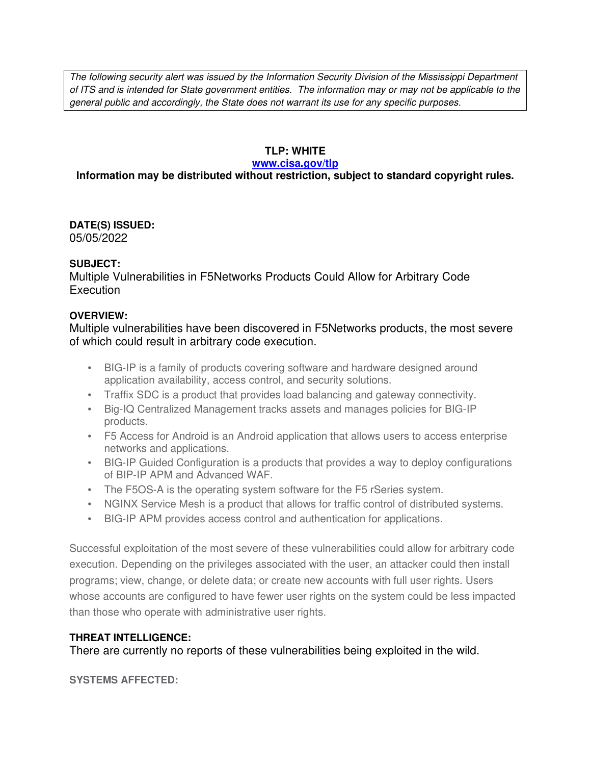The following security alert was issued by the Information Security Division of the Mississippi Department of ITS and is intended for State government entities. The information may or may not be applicable to the general public and accordingly, the State does not warrant its use for any specific purposes.

## **TLP: WHITE**

#### **www.cisa.gov/tlp**

# **Information may be distributed without restriction, subject to standard copyright rules.**

**DATE(S) ISSUED:** 05/05/2022

### **SUBJECT:**

Multiple Vulnerabilities in F5Networks Products Could Allow for Arbitrary Code **Execution** 

### **OVERVIEW:**

Multiple vulnerabilities have been discovered in F5Networks products, the most severe of which could result in arbitrary code execution.

- BIG-IP is a family of products covering software and hardware designed around application availability, access control, and security solutions.
- Traffix SDC is a product that provides load balancing and gateway connectivity.
- Big-IQ Centralized Management tracks assets and manages policies for BIG-IP products.
- F5 Access for Android is an Android application that allows users to access enterprise networks and applications.
- BIG-IP Guided Configuration is a products that provides a way to deploy configurations of BIP-IP APM and Advanced WAF.
- The F5OS-A is the operating system software for the F5 rSeries system.
- NGINX Service Mesh is a product that allows for traffic control of distributed systems.
- BIG-IP APM provides access control and authentication for applications.

Successful exploitation of the most severe of these vulnerabilities could allow for arbitrary code execution. Depending on the privileges associated with the user, an attacker could then install programs; view, change, or delete data; or create new accounts with full user rights. Users whose accounts are configured to have fewer user rights on the system could be less impacted than those who operate with administrative user rights.

### **THREAT INTELLIGENCE:**

There are currently no reports of these vulnerabilities being exploited in the wild.

**SYSTEMS AFFECTED:**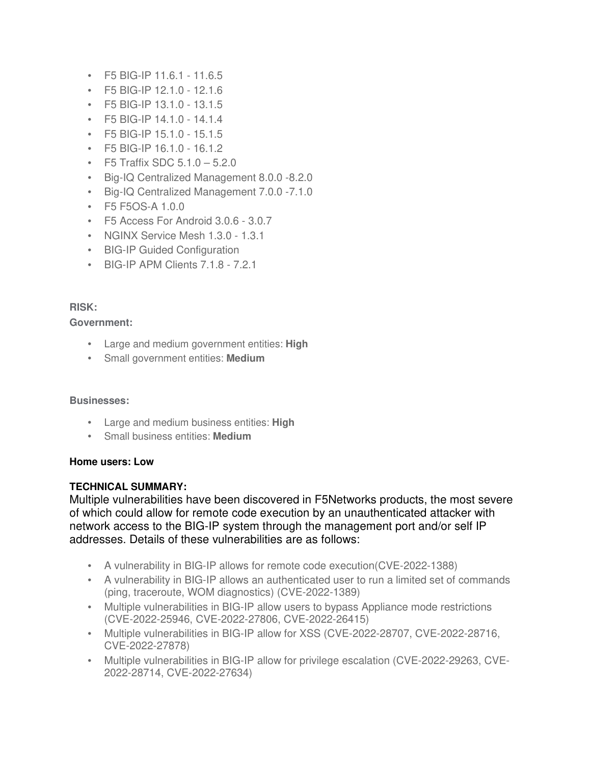- F5 BIG-IP 11.6.1 11.6.5
- F5 BIG-IP 12.1.0 12.1.6
- F5 BIG-IP 13.1.0 13.1.5
- F5 BIG-IP 14.1.0 14.1.4
- F5 BIG-IP 15.1.0 15.1.5
- F5 BIG-IP 16.1.0 16.1.2
- F5 Traffix SDC  $5.1.0 5.2.0$
- Big-IQ Centralized Management 8.0.0 -8.2.0
- Big-IQ Centralized Management 7.0.0 -7.1.0
- F5 F5OS-A 1.0.0
- F5 Access For Android 3.0.6 3.0.7
- NGINX Service Mesh 1.3.0 1.3.1
- BIG-IP Guided Configuration
- BIG-IP APM Clients 7.1.8 7.2.1

## **RISK:**

### **Government:**

- Large and medium government entities: **High**
- Small government entities: **Medium**

### **Businesses:**

- Large and medium business entities: **High**
- Small business entities: **Medium**

### **Home users: Low**

### **TECHNICAL SUMMARY:**

Multiple vulnerabilities have been discovered in F5Networks products, the most severe of which could allow for remote code execution by an unauthenticated attacker with network access to the BIG-IP system through the management port and/or self IP addresses. Details of these vulnerabilities are as follows:

- A vulnerability in BIG-IP allows for remote code execution(CVE-2022-1388)
- A vulnerability in BIG-IP allows an authenticated user to run a limited set of commands (ping, traceroute, WOM diagnostics) (CVE-2022-1389)
- Multiple vulnerabilities in BIG-IP allow users to bypass Appliance mode restrictions (CVE-2022-25946, CVE-2022-27806, CVE-2022-26415)
- Multiple vulnerabilities in BIG-IP allow for XSS (CVE-2022-28707, CVE-2022-28716, CVE-2022-27878)
- Multiple vulnerabilities in BIG-IP allow for privilege escalation (CVE-2022-29263, CVE-2022-28714, CVE-2022-27634)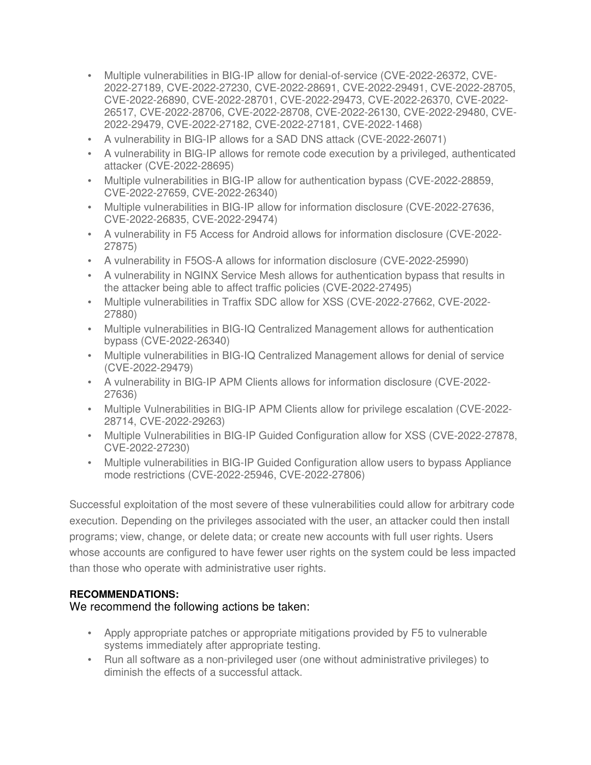- Multiple vulnerabilities in BIG-IP allow for denial-of-service (CVE-2022-26372, CVE-2022-27189, CVE-2022-27230, CVE-2022-28691, CVE-2022-29491, CVE-2022-28705, CVE-2022-26890, CVE-2022-28701, CVE-2022-29473, CVE-2022-26370, CVE-2022- 26517, CVE-2022-28706, CVE-2022-28708, CVE-2022-26130, CVE-2022-29480, CVE-2022-29479, CVE-2022-27182, CVE-2022-27181, CVE-2022-1468)
- A vulnerability in BIG-IP allows for a SAD DNS attack (CVE-2022-26071)
- A vulnerability in BIG-IP allows for remote code execution by a privileged, authenticated attacker (CVE-2022-28695)
- Multiple vulnerabilities in BIG-IP allow for authentication bypass (CVE-2022-28859, CVE-2022-27659, CVE-2022-26340)
- Multiple vulnerabilities in BIG-IP allow for information disclosure (CVE-2022-27636, CVE-2022-26835, CVE-2022-29474)
- A vulnerability in F5 Access for Android allows for information disclosure (CVE-2022- 27875)
- A vulnerability in F5OS-A allows for information disclosure (CVE-2022-25990)
- A vulnerability in NGINX Service Mesh allows for authentication bypass that results in the attacker being able to affect traffic policies (CVE-2022-27495)
- Multiple vulnerabilities in Traffix SDC allow for XSS (CVE-2022-27662, CVE-2022- 27880)
- Multiple vulnerabilities in BIG-IQ Centralized Management allows for authentication bypass (CVE-2022-26340)
- Multiple vulnerabilities in BIG-IQ Centralized Management allows for denial of service (CVE-2022-29479)
- A vulnerability in BIG-IP APM Clients allows for information disclosure (CVE-2022- 27636)
- Multiple Vulnerabilities in BIG-IP APM Clients allow for privilege escalation (CVE-2022- 28714, CVE-2022-29263)
- Multiple Vulnerabilities in BIG-IP Guided Configuration allow for XSS (CVE-2022-27878, CVE-2022-27230)
- Multiple vulnerabilities in BIG-IP Guided Configuration allow users to bypass Appliance mode restrictions (CVE-2022-25946, CVE-2022-27806)

Successful exploitation of the most severe of these vulnerabilities could allow for arbitrary code execution. Depending on the privileges associated with the user, an attacker could then install programs; view, change, or delete data; or create new accounts with full user rights. Users whose accounts are configured to have fewer user rights on the system could be less impacted than those who operate with administrative user rights.

### **RECOMMENDATIONS:**

We recommend the following actions be taken:

- Apply appropriate patches or appropriate mitigations provided by F5 to vulnerable systems immediately after appropriate testing.
- Run all software as a non-privileged user (one without administrative privileges) to diminish the effects of a successful attack.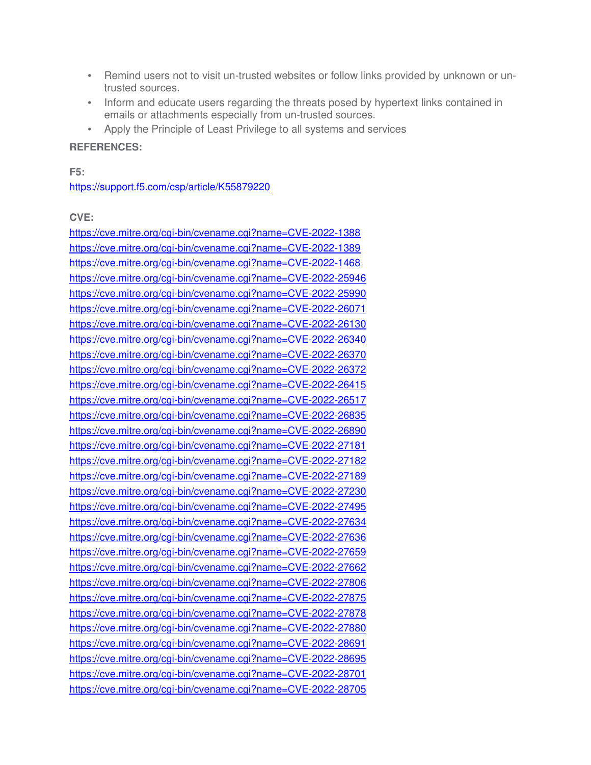- Remind users not to visit un-trusted websites or follow links provided by unknown or untrusted sources.
- Inform and educate users regarding the threats posed by hypertext links contained in emails or attachments especially from un-trusted sources.
- Apply the Principle of Least Privilege to all systems and services

### **REFERENCES:**

**F5:**

https://support.f5.com/csp/article/K55879220

## **CVE:**

https://cve.mitre.org/cgi-bin/cvename.cgi?name=CVE-2022-1388 https://cve.mitre.org/cgi-bin/cvename.cgi?name=CVE-2022-1389 https://cve.mitre.org/cgi-bin/cvename.cgi?name=CVE-2022-1468 https://cve.mitre.org/cgi-bin/cvename.cgi?name=CVE-2022-25946 https://cve.mitre.org/cgi-bin/cvename.cgi?name=CVE-2022-25990 https://cve.mitre.org/cgi-bin/cvename.cgi?name=CVE-2022-26071 https://cve.mitre.org/cgi-bin/cvename.cgi?name=CVE-2022-26130 https://cve.mitre.org/cgi-bin/cvename.cgi?name=CVE-2022-26340 https://cve.mitre.org/cgi-bin/cvename.cgi?name=CVE-2022-26370 https://cve.mitre.org/cgi-bin/cvename.cgi?name=CVE-2022-26372 https://cve.mitre.org/cgi-bin/cvename.cgi?name=CVE-2022-26415 https://cve.mitre.org/cgi-bin/cvename.cgi?name=CVE-2022-26517 https://cve.mitre.org/cgi-bin/cvename.cgi?name=CVE-2022-26835 https://cve.mitre.org/cgi-bin/cvename.cgi?name=CVE-2022-26890 https://cve.mitre.org/cgi-bin/cvename.cgi?name=CVE-2022-27181 https://cve.mitre.org/cgi-bin/cvename.cgi?name=CVE-2022-27182 https://cve.mitre.org/cgi-bin/cvename.cgi?name=CVE-2022-27189 https://cve.mitre.org/cgi-bin/cvename.cgi?name=CVE-2022-27230 https://cve.mitre.org/cgi-bin/cvename.cgi?name=CVE-2022-27495 https://cve.mitre.org/cgi-bin/cvename.cgi?name=CVE-2022-27634 https://cve.mitre.org/cgi-bin/cvename.cgi?name=CVE-2022-27636 https://cve.mitre.org/cgi-bin/cvename.cgi?name=CVE-2022-27659 https://cve.mitre.org/cgi-bin/cvename.cgi?name=CVE-2022-27662 https://cve.mitre.org/cgi-bin/cvename.cgi?name=CVE-2022-27806 https://cve.mitre.org/cgi-bin/cvename.cgi?name=CVE-2022-27875 https://cve.mitre.org/cgi-bin/cvename.cgi?name=CVE-2022-27878 https://cve.mitre.org/cgi-bin/cvename.cgi?name=CVE-2022-27880 https://cve.mitre.org/cgi-bin/cvename.cgi?name=CVE-2022-28691 https://cve.mitre.org/cgi-bin/cvename.cgi?name=CVE-2022-28695 https://cve.mitre.org/cgi-bin/cvename.cgi?name=CVE-2022-28701 https://cve.mitre.org/cgi-bin/cvename.cgi?name=CVE-2022-28705